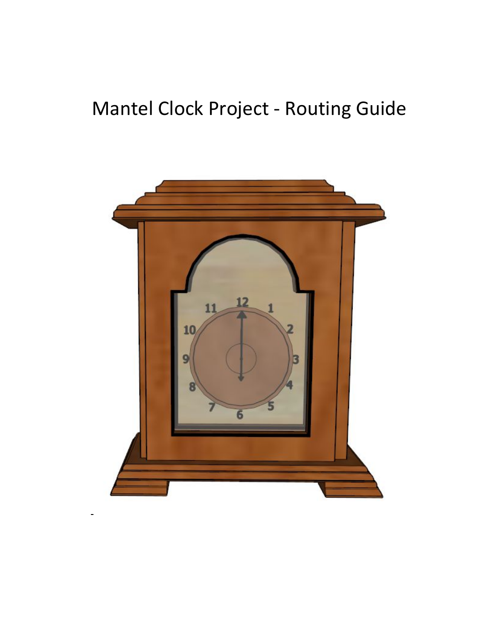# Mantel Clock Project - Routing Guide

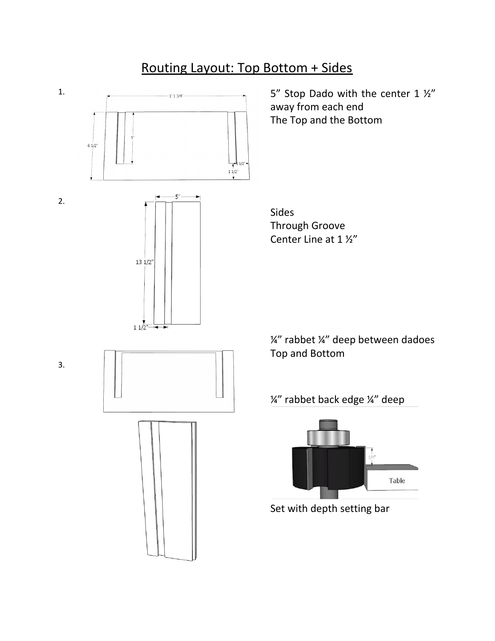## Routing Layout: Top Bottom + Sides

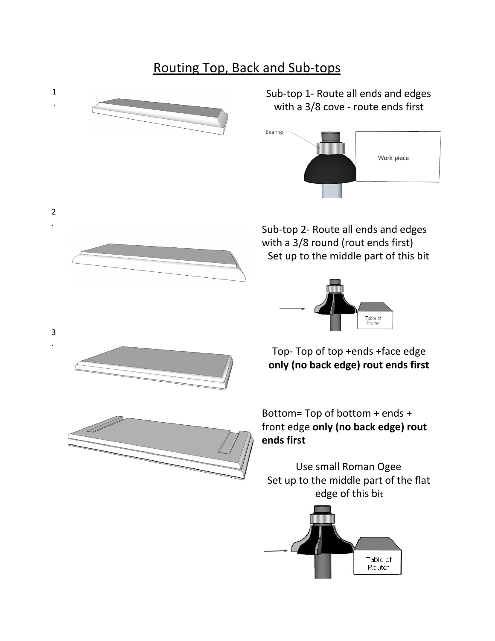## Routing Top, Back and Sub-tops



Table of Router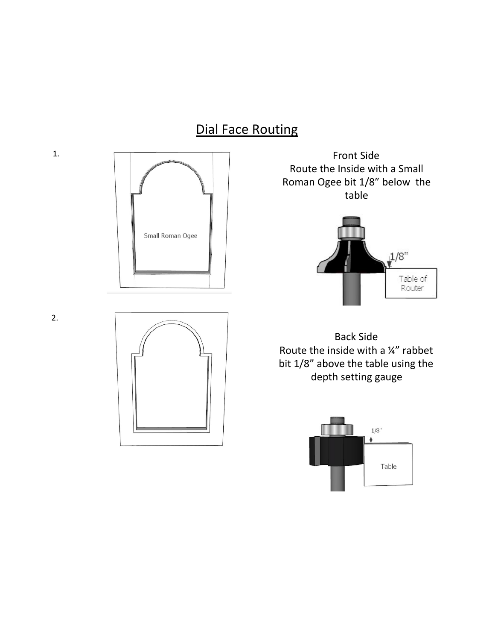#### Dial Face Routing





Front Side Route the Inside with a Small Roman Ogee bit 1/8" below the table



Back Side Route the inside with a ¼" rabbet bit 1/8" above the table using the depth setting gauge





1.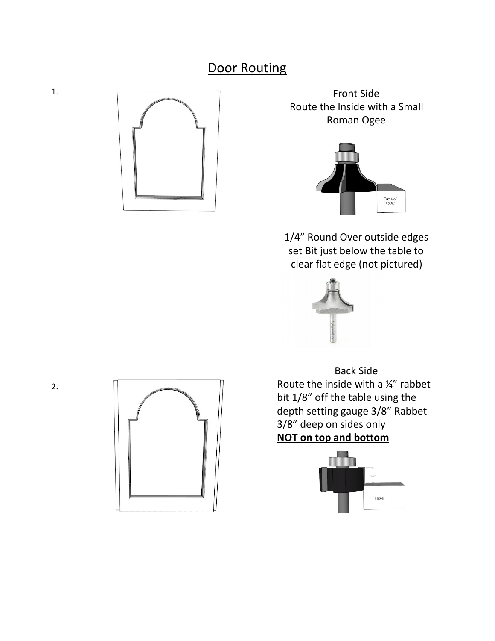#### **Door Routing**



Front Side Route the Inside with a Small Roman Ogee



1/4" Round Over outside edges set Bit just below the table to clear flat edge (not pictured)



Back Side Route the inside with a ¼" rabbet bit 1/8" off the table using the depth setting gauge 3/8" Rabbet 3/8" deep on sides only **NOT on top and bottom**





1.

2.